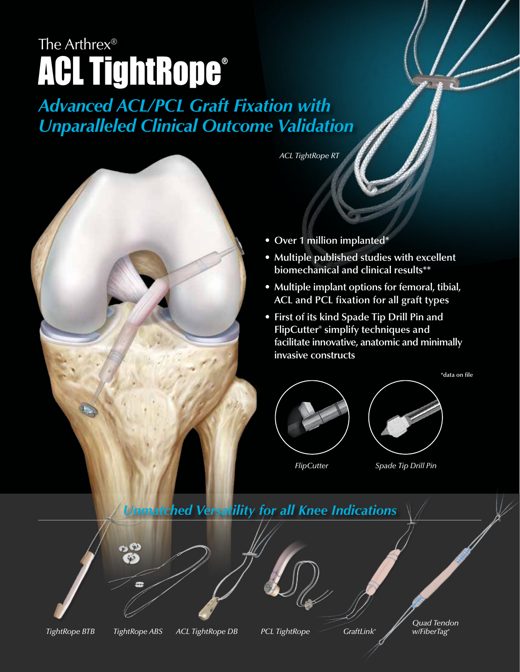## The Arthrex® **ACL TightRope®**

## *Advanced ACL/PCL Graft Fixation with Unparalleled Clinical Outcome Validation*



*ACL TightRope RT*

- **Over 1 million implanted\***
- **• Multiple published studies with excellent biomechanical and clinical results\*\***
- **Multiple implant options for femoral, tibial, ACL and PCL fixation for all graft types**
- **First of its kind Spade Tip Drill Pin and FlipCutter® simplify techniques and facilitate innovative, anatomic and minimally invasive constructs**





**\*data on file**

*FlipCutter Spade Tip Drill Pin*

## *Unmatched Versatility for all Knee Indications*

*GraftLink®*

*Quad Tendon w/FiberTag®*